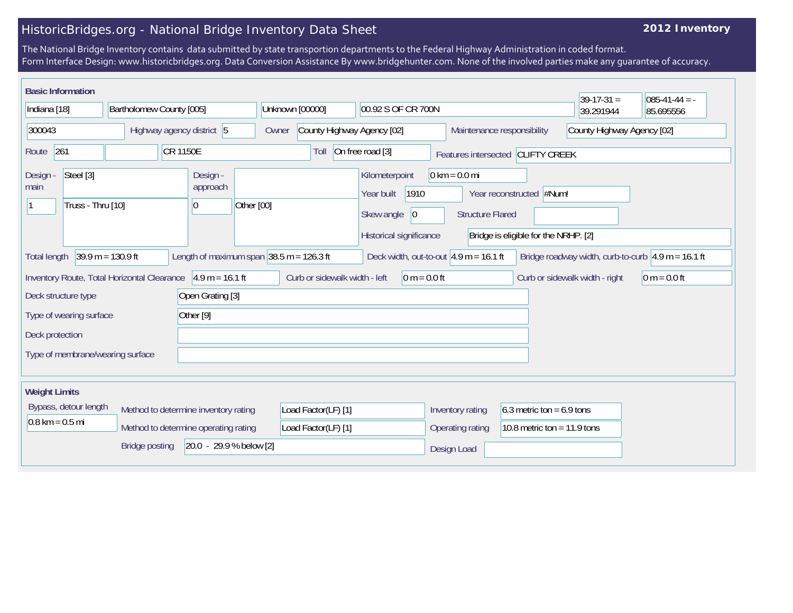## HistoricBridges.org - National Bridge Inventory Data Sheet

## **2012 Inventory**

The National Bridge Inventory contains data submitted by state transportion departments to the Federal Highway Administration in coded format. Form Interface Design: www.historicbridges.org. Data Conversion Assistance By www.bridgehunter.com. None of the involved parties make any guarantee of accuracy.

| <b>Basic Information</b>          |                                |                                             |          |                                                              |            |       |                               |                                                                       |                     |                                                            |                                                                  |                             | $39-17-31 =$                   | $ 085-41-44 = -$                                                            |
|-----------------------------------|--------------------------------|---------------------------------------------|----------|--------------------------------------------------------------|------------|-------|-------------------------------|-----------------------------------------------------------------------|---------------------|------------------------------------------------------------|------------------------------------------------------------------|-----------------------------|--------------------------------|-----------------------------------------------------------------------------|
| Indiana [18]                      |                                | Bartholomew County [005]                    |          |                                                              |            |       | Unknown [00000]               | 00.92 S OF CR 700N                                                    |                     |                                                            |                                                                  |                             | 39.291944                      | 85.695556                                                                   |
| 300043                            |                                |                                             |          | Highway agency district 5                                    |            | Owner |                               | County Highway Agency [02]                                            |                     | Maintenance responsibility                                 |                                                                  |                             | County Highway Agency [02]     |                                                                             |
| Route                             | 261                            |                                             | CR 1150E |                                                              |            |       | Toll                          | On free road [3]                                                      |                     | Features intersected CLIFTY CREEK                          |                                                                  |                             |                                |                                                                             |
| Design -<br>main                  | Steel [3]<br>Truss - Thru [10] |                                             |          | Design -<br>approach<br>$ 0\rangle$                          | Other [00] |       |                               | Kilometerpoint<br>Year built<br>Skew angle<br>Historical significance | 1910<br>$ 0\rangle$ | $0 \text{ km} = 0.0 \text{ mi}$<br><b>Structure Flared</b> | Year reconstructed #Num!<br>Bridge is eligible for the NRHP. [2] |                             |                                |                                                                             |
| <b>Total length</b>               |                                | $39.9 m = 130.9 ft$                         |          | Length of maximum span $ 38.5 \text{ m} = 126.3 \text{ ft} $ |            |       |                               |                                                                       |                     | Deck width, out-to-out $ 4.9 \text{ m} = 16.1 \text{ ft} $ |                                                                  |                             |                                | Bridge roadway width, curb-to-curb $\sqrt{4.9 \text{ m}} = 16.1 \text{ ft}$ |
|                                   |                                | Inventory Route, Total Horizontal Clearance |          | $4.9 m = 16.1 ft$                                            |            |       | Curb or sidewalk width - left |                                                                       | $0 m = 0.0 ft$      |                                                            |                                                                  |                             | Curb or sidewalk width - right | $ 0 m = 0.0 ft$                                                             |
|                                   | Deck structure type            |                                             |          | Open Grating [3]                                             |            |       |                               |                                                                       |                     |                                                            |                                                                  |                             |                                |                                                                             |
|                                   | Type of wearing surface        |                                             |          | Other <sup>[9]</sup>                                         |            |       |                               |                                                                       |                     |                                                            |                                                                  |                             |                                |                                                                             |
| Deck protection                   |                                |                                             |          |                                                              |            |       |                               |                                                                       |                     |                                                            |                                                                  |                             |                                |                                                                             |
|                                   |                                | Type of membrane/wearing surface            |          |                                                              |            |       |                               |                                                                       |                     |                                                            |                                                                  |                             |                                |                                                                             |
| <b>Weight Limits</b>              |                                |                                             |          |                                                              |            |       |                               |                                                                       |                     |                                                            |                                                                  |                             |                                |                                                                             |
|                                   | Bypass, detour length          |                                             |          | Method to determine inventory rating                         |            |       | Load Factor(LF) [1]           |                                                                       |                     | Inventory rating                                           |                                                                  | 6.3 metric ton = $6.9$ tons |                                |                                                                             |
| $0.8 \text{ km} = 0.5 \text{ mi}$ |                                |                                             |          | Method to determine operating rating                         |            |       | Load Factor(LF) [1]           |                                                                       |                     | Operating rating                                           |                                                                  |                             | 10.8 metric ton = $11.9$ tons  |                                                                             |
|                                   |                                | <b>Bridge posting</b>                       |          | 20.0 - 29.9 % below [2]                                      |            |       |                               |                                                                       |                     | Design Load                                                |                                                                  |                             |                                |                                                                             |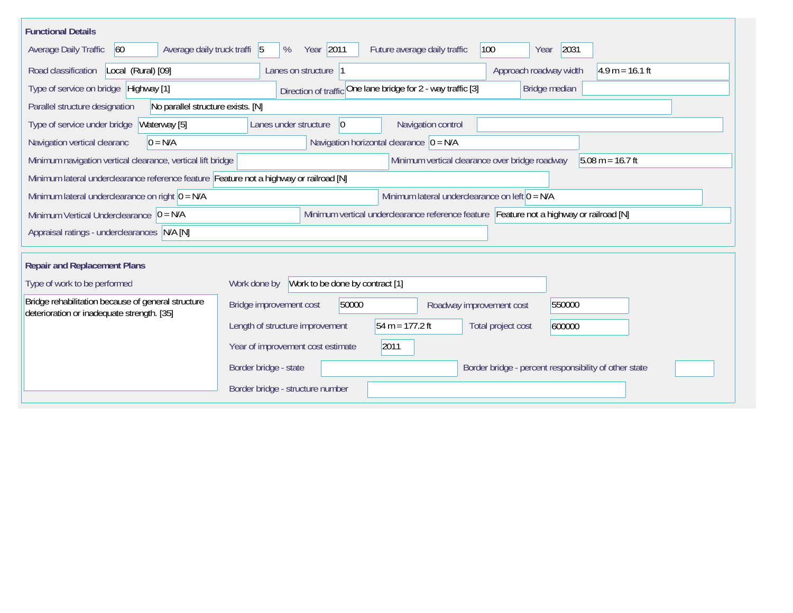| <b>Functional Details</b>                                                                        |                                                                                         |  |  |  |  |  |  |  |  |  |
|--------------------------------------------------------------------------------------------------|-----------------------------------------------------------------------------------------|--|--|--|--|--|--|--|--|--|
| Average daily truck traffi 5<br>Average Daily Traffic<br>60                                      | Year 2011<br>2031<br>100<br>%<br>Future average daily traffic<br>Year                   |  |  |  |  |  |  |  |  |  |
| Road classification<br>Local (Rural) [09]                                                        | Approach roadway width<br>$4.9 m = 16.1 ft$<br>Lanes on structure 1                     |  |  |  |  |  |  |  |  |  |
| Type of service on bridge Highway [1]                                                            | Direction of traffic One lane bridge for 2 - way traffic [3]<br>Bridge median           |  |  |  |  |  |  |  |  |  |
| No parallel structure exists. [N]<br>Parallel structure designation                              |                                                                                         |  |  |  |  |  |  |  |  |  |
| Waterway [5]<br>Type of service under bridge                                                     | 0 <br>Navigation control<br>Lanes under structure                                       |  |  |  |  |  |  |  |  |  |
| Navigation vertical clearanc<br>$0 = N/A$                                                        | Navigation horizontal clearance $ 0 = N/A$                                              |  |  |  |  |  |  |  |  |  |
| Minimum navigation vertical clearance, vertical lift bridge                                      | Minimum vertical clearance over bridge roadway<br>$5.08 m = 16.7 ft$                    |  |  |  |  |  |  |  |  |  |
| Minimum lateral underclearance reference feature Feature not a highway or railroad [N]           |                                                                                         |  |  |  |  |  |  |  |  |  |
| Minimum lateral underclearance on right $ 0 = N/A$                                               | Minimum lateral underclearance on left $0 = N/A$                                        |  |  |  |  |  |  |  |  |  |
| Minimum Vertical Underclearance $ 0 = N/A $                                                      | Minimum vertical underclearance reference feature Feature not a highway or railroad [N] |  |  |  |  |  |  |  |  |  |
| Appraisal ratings - underclearances N/A [N]                                                      |                                                                                         |  |  |  |  |  |  |  |  |  |
|                                                                                                  |                                                                                         |  |  |  |  |  |  |  |  |  |
| <b>Repair and Replacement Plans</b>                                                              |                                                                                         |  |  |  |  |  |  |  |  |  |
| Type of work to be performed                                                                     | Work to be done by contract [1]<br>Work done by                                         |  |  |  |  |  |  |  |  |  |
| Bridge rehabilitation because of general structure<br>deterioration or inadequate strength. [35] | 50000<br>550000<br>Bridge improvement cost<br>Roadway improvement cost                  |  |  |  |  |  |  |  |  |  |
|                                                                                                  | $54 m = 177.2 ft$<br>Length of structure improvement<br>Total project cost<br>600000    |  |  |  |  |  |  |  |  |  |
|                                                                                                  | 2011<br>Year of improvement cost estimate                                               |  |  |  |  |  |  |  |  |  |
|                                                                                                  | Border bridge - state<br>Border bridge - percent responsibility of other state          |  |  |  |  |  |  |  |  |  |
|                                                                                                  | Border bridge - structure number                                                        |  |  |  |  |  |  |  |  |  |